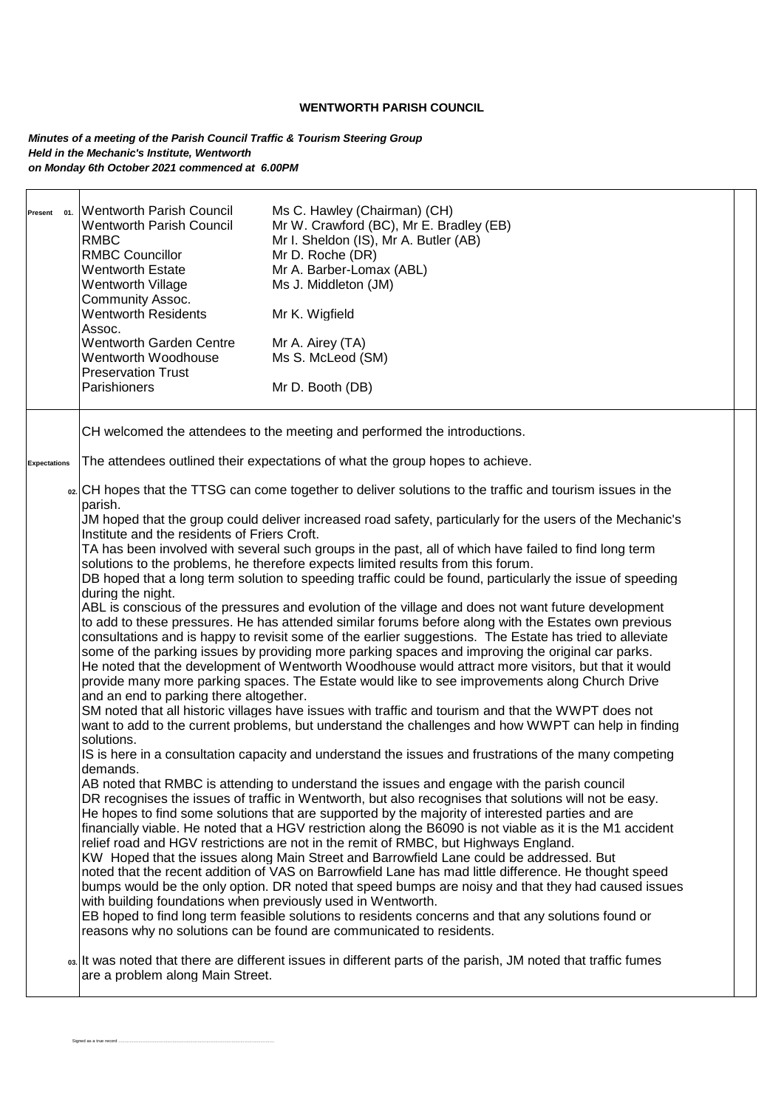## **WENTWORTH PARISH COUNCIL**

*Minutes of a meeting of the Parish Council Traffic & Tourism Steering Group Held in the Mechanic's Institute, Wentworth on Monday 6th October 2021 commenced at 6.00PM*

Signed as a true record .............

|                     | Present 01. Wentworth Parish Council<br><b>Wentworth Parish Council</b><br><b>RMBC</b><br><b>RMBC Councillor</b><br><b>Wentworth Estate</b><br>Wentworth Village<br>Community Assoc.<br><b>Wentworth Residents</b><br>Assoc.<br>Wentworth Garden Centre<br>Wentworth Woodhouse<br><b>Preservation Trust</b><br>Parishioners                  | Ms C. Hawley (Chairman) (CH)<br>Mr W. Crawford (BC), Mr E. Bradley (EB)<br>Mr I. Sheldon (IS), Mr A. Butler (AB)<br>Mr D. Roche (DR)<br>Mr A. Barber-Lomax (ABL)<br>Ms J. Middleton (JM)<br>Mr K. Wigfield<br>Mr A. Airey (TA)<br>Ms S. McLeod (SM)<br>Mr D. Booth (DB) |  |  |
|---------------------|----------------------------------------------------------------------------------------------------------------------------------------------------------------------------------------------------------------------------------------------------------------------------------------------------------------------------------------------|-------------------------------------------------------------------------------------------------------------------------------------------------------------------------------------------------------------------------------------------------------------------------|--|--|
|                     |                                                                                                                                                                                                                                                                                                                                              | CH welcomed the attendees to the meeting and performed the introductions.                                                                                                                                                                                               |  |  |
| <b>Expectations</b> |                                                                                                                                                                                                                                                                                                                                              | The attendees outlined their expectations of what the group hopes to achieve.                                                                                                                                                                                           |  |  |
|                     | oz CH hopes that the TTSG can come together to deliver solutions to the traffic and tourism issues in the<br>parish.                                                                                                                                                                                                                         |                                                                                                                                                                                                                                                                         |  |  |
|                     | JM hoped that the group could deliver increased road safety, particularly for the users of the Mechanic's<br>Institute and the residents of Friers Croft.                                                                                                                                                                                    |                                                                                                                                                                                                                                                                         |  |  |
|                     | TA has been involved with several such groups in the past, all of which have failed to find long term<br>solutions to the problems, he therefore expects limited results from this forum.                                                                                                                                                    |                                                                                                                                                                                                                                                                         |  |  |
|                     | DB hoped that a long term solution to speeding traffic could be found, particularly the issue of speeding                                                                                                                                                                                                                                    |                                                                                                                                                                                                                                                                         |  |  |
|                     | during the night.<br>ABL is conscious of the pressures and evolution of the village and does not want future development<br>to add to these pressures. He has attended similar forums before along with the Estates own previous<br>consultations and is happy to revisit some of the earlier suggestions. The Estate has tried to alleviate |                                                                                                                                                                                                                                                                         |  |  |
|                     |                                                                                                                                                                                                                                                                                                                                              |                                                                                                                                                                                                                                                                         |  |  |
|                     | some of the parking issues by providing more parking spaces and improving the original car parks.                                                                                                                                                                                                                                            |                                                                                                                                                                                                                                                                         |  |  |
|                     | He noted that the development of Wentworth Woodhouse would attract more visitors, but that it would<br>provide many more parking spaces. The Estate would like to see improvements along Church Drive<br>and an end to parking there altogether.                                                                                             |                                                                                                                                                                                                                                                                         |  |  |
|                     |                                                                                                                                                                                                                                                                                                                                              | SM noted that all historic villages have issues with traffic and tourism and that the WWPT does not                                                                                                                                                                     |  |  |
|                     | solutions.                                                                                                                                                                                                                                                                                                                                   | want to add to the current problems, but understand the challenges and how WWPT can help in finding                                                                                                                                                                     |  |  |
|                     | IS is here in a consultation capacity and understand the issues and frustrations of the many competing<br>demands.                                                                                                                                                                                                                           |                                                                                                                                                                                                                                                                         |  |  |
|                     |                                                                                                                                                                                                                                                                                                                                              | AB noted that RMBC is attending to understand the issues and engage with the parish council                                                                                                                                                                             |  |  |
|                     |                                                                                                                                                                                                                                                                                                                                              | DR recognises the issues of traffic in Wentworth, but also recognises that solutions will not be easy.<br>He hopes to find some solutions that are supported by the majority of interested parties and are                                                              |  |  |
|                     |                                                                                                                                                                                                                                                                                                                                              | financially viable. He noted that a HGV restriction along the B6090 is not viable as it is the M1 accident                                                                                                                                                              |  |  |
|                     |                                                                                                                                                                                                                                                                                                                                              | relief road and HGV restrictions are not in the remit of RMBC, but Highways England.<br>KW Hoped that the issues along Main Street and Barrowfield Lane could be addressed. But                                                                                         |  |  |
|                     |                                                                                                                                                                                                                                                                                                                                              | noted that the recent addition of VAS on Barrowfield Lane has mad little difference. He thought speed<br>bumps would be the only option. DR noted that speed bumps are noisy and that they had caused issues                                                            |  |  |
|                     | with building foundations when previously used in Wentworth.                                                                                                                                                                                                                                                                                 |                                                                                                                                                                                                                                                                         |  |  |
|                     |                                                                                                                                                                                                                                                                                                                                              | EB hoped to find long term feasible solutions to residents concerns and that any solutions found or<br>reasons why no solutions can be found are communicated to residents.                                                                                             |  |  |
|                     | are a problem along Main Street.                                                                                                                                                                                                                                                                                                             | os It was noted that there are different issues in different parts of the parish, JM noted that traffic fumes                                                                                                                                                           |  |  |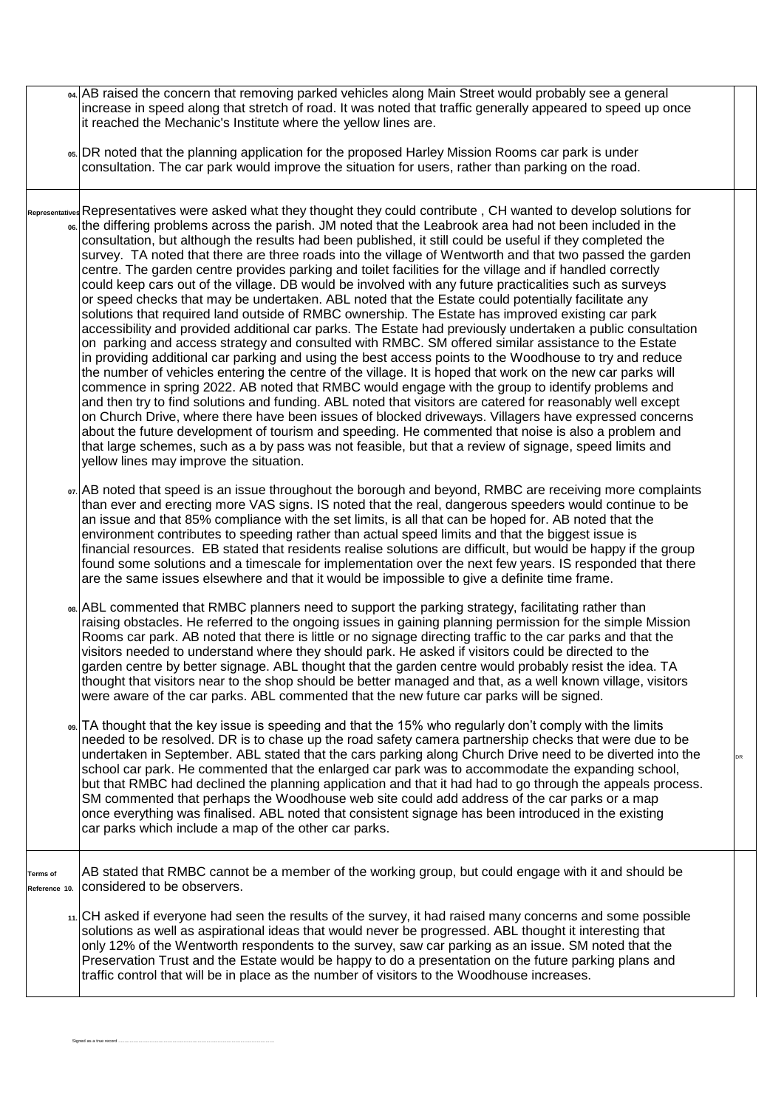|                                  | o4 AB raised the concern that removing parked vehicles along Main Street would probably see a general<br>increase in speed along that stretch of road. It was noted that traffic generally appeared to speed up once<br>it reached the Mechanic's Institute where the yellow lines are.                                                                                                                                                                                                                                                                                                                                                                                                                                                                                                                                                                                                                                                                                                                                                                                                                                                                                                                                                                                                                                                                                                                                                                                                                                                                                                                                                                                                                                                                                                                                                                                                                                               |    |
|----------------------------------|---------------------------------------------------------------------------------------------------------------------------------------------------------------------------------------------------------------------------------------------------------------------------------------------------------------------------------------------------------------------------------------------------------------------------------------------------------------------------------------------------------------------------------------------------------------------------------------------------------------------------------------------------------------------------------------------------------------------------------------------------------------------------------------------------------------------------------------------------------------------------------------------------------------------------------------------------------------------------------------------------------------------------------------------------------------------------------------------------------------------------------------------------------------------------------------------------------------------------------------------------------------------------------------------------------------------------------------------------------------------------------------------------------------------------------------------------------------------------------------------------------------------------------------------------------------------------------------------------------------------------------------------------------------------------------------------------------------------------------------------------------------------------------------------------------------------------------------------------------------------------------------------------------------------------------------|----|
|                                  | os. DR noted that the planning application for the proposed Harley Mission Rooms car park is under<br>consultation. The car park would improve the situation for users, rather than parking on the road.                                                                                                                                                                                                                                                                                                                                                                                                                                                                                                                                                                                                                                                                                                                                                                                                                                                                                                                                                                                                                                                                                                                                                                                                                                                                                                                                                                                                                                                                                                                                                                                                                                                                                                                              |    |
|                                  | Representatives Representatives were asked what they thought they could contribute, CH wanted to develop solutions for<br>os the differing problems across the parish. JM noted that the Leabrook area had not been included in the<br>consultation, but although the results had been published, it still could be useful if they completed the<br>survey. TA noted that there are three roads into the village of Wentworth and that two passed the garden<br>centre. The garden centre provides parking and toilet facilities for the village and if handled correctly<br>could keep cars out of the village. DB would be involved with any future practicalities such as surveys<br>or speed checks that may be undertaken. ABL noted that the Estate could potentially facilitate any<br>solutions that required land outside of RMBC ownership. The Estate has improved existing car park<br>accessibility and provided additional car parks. The Estate had previously undertaken a public consultation<br>on parking and access strategy and consulted with RMBC. SM offered similar assistance to the Estate<br>in providing additional car parking and using the best access points to the Woodhouse to try and reduce<br>the number of vehicles entering the centre of the village. It is hoped that work on the new car parks will<br>commence in spring 2022. AB noted that RMBC would engage with the group to identify problems and<br>and then try to find solutions and funding. ABL noted that visitors are catered for reasonably well except<br>on Church Drive, where there have been issues of blocked driveways. Villagers have expressed concerns<br>about the future development of tourism and speeding. He commented that noise is also a problem and<br>that large schemes, such as a by pass was not feasible, but that a review of signage, speed limits and<br>yellow lines may improve the situation. |    |
|                                  | or AB noted that speed is an issue throughout the borough and beyond, RMBC are receiving more complaints<br>than ever and erecting more VAS signs. IS noted that the real, dangerous speeders would continue to be<br>an issue and that 85% compliance with the set limits, is all that can be hoped for. AB noted that the<br>environment contributes to speeding rather than actual speed limits and that the biggest issue is<br>financial resources. EB stated that residents realise solutions are difficult, but would be happy if the group<br>found some solutions and a timescale for implementation over the next few years. IS responded that there<br>are the same issues elsewhere and that it would be impossible to give a definite time frame.                                                                                                                                                                                                                                                                                                                                                                                                                                                                                                                                                                                                                                                                                                                                                                                                                                                                                                                                                                                                                                                                                                                                                                        |    |
|                                  | 08. ABL commented that RMBC planners need to support the parking strategy, facilitating rather than<br>raising obstacles. He referred to the ongoing issues in gaining planning permission for the simple Mission<br>Rooms car park. AB noted that there is little or no signage directing traffic to the car parks and that the<br>visitors needed to understand where they should park. He asked if visitors could be directed to the<br>garden centre by better signage. ABL thought that the garden centre would probably resist the idea. TA<br>thought that visitors near to the shop should be better managed and that, as a well known village, visitors<br>were aware of the car parks. ABL commented that the new future car parks will be signed.                                                                                                                                                                                                                                                                                                                                                                                                                                                                                                                                                                                                                                                                                                                                                                                                                                                                                                                                                                                                                                                                                                                                                                          |    |
|                                  | os TA thought that the key issue is speeding and that the 15% who regularly don't comply with the limits<br>needed to be resolved. DR is to chase up the road safety camera partnership checks that were due to be<br>undertaken in September. ABL stated that the cars parking along Church Drive need to be diverted into the<br>school car park. He commented that the enlarged car park was to accommodate the expanding school,<br>but that RMBC had declined the planning application and that it had had to go through the appeals process.<br>SM commented that perhaps the Woodhouse web site could add address of the car parks or a map<br>once everything was finalised. ABL noted that consistent signage has been introduced in the existing<br>car parks which include a map of the other car parks.                                                                                                                                                                                                                                                                                                                                                                                                                                                                                                                                                                                                                                                                                                                                                                                                                                                                                                                                                                                                                                                                                                                   | DR |
| <b>Terms</b> of<br>Reference 10. | AB stated that RMBC cannot be a member of the working group, but could engage with it and should be<br>considered to be observers.                                                                                                                                                                                                                                                                                                                                                                                                                                                                                                                                                                                                                                                                                                                                                                                                                                                                                                                                                                                                                                                                                                                                                                                                                                                                                                                                                                                                                                                                                                                                                                                                                                                                                                                                                                                                    |    |
|                                  | 11. CH asked if everyone had seen the results of the survey, it had raised many concerns and some possible<br>solutions as well as aspirational ideas that would never be progressed. ABL thought it interesting that<br>only 12% of the Wentworth respondents to the survey, saw car parking as an issue. SM noted that the<br>Preservation Trust and the Estate would be happy to do a presentation on the future parking plans and<br>traffic control that will be in place as the number of visitors to the Woodhouse increases.                                                                                                                                                                                                                                                                                                                                                                                                                                                                                                                                                                                                                                                                                                                                                                                                                                                                                                                                                                                                                                                                                                                                                                                                                                                                                                                                                                                                  |    |

Signed as a true record ...